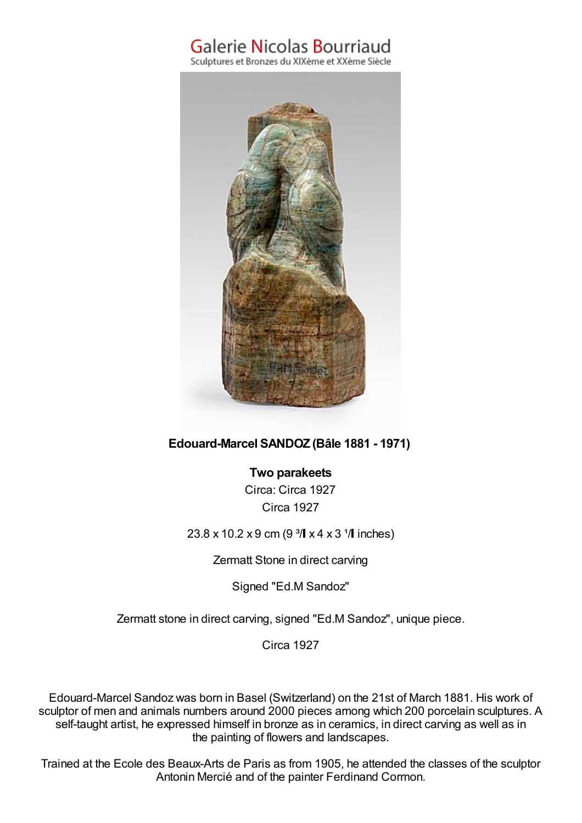## Galerie Nicolas Bourriaud

Sculptures et Bronzes du XIXème et XXème Siècle



## **Edouard-Marcel SANDOZ (Bâle 1881 - 1971)**

**Two parakeets** Circa: Circa 1927 Circa 1927

 $23.8 \times 10.2 \times 9$  cm (9<sup>3</sup>/ $\sqrt{4 \times 3}$ <sup>1</sup>/ $\sqrt{1}$  inches)

Zermatt Stone in direct carving

Signed "Ed.M Sandoz"

Zermatt stone in direct carving, signed "Ed.M Sandoz", unique piece.

Circa 1927

Edouard-Marcel Sandoz was born in Basel (Switzerland) on the 21st of March 1881. His work of sculptor of men and animals numbers around 2000 pieces among which 200 porcelain sculptures. A self-taught artist, he expressed himself in bronze as in ceramics, in direct carving as well as in the painting of flowers and landscapes.

Trained at the Ecole des Beaux-Arts de Paris as from 1905, he attended the classes of the sculptor Antonin Mercié and of the painter Ferdinand Cormon.